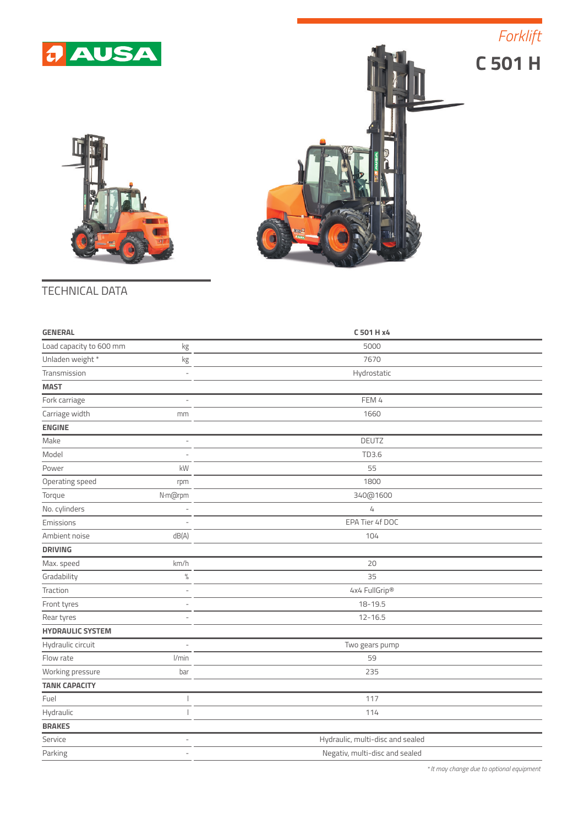

*Forklift*





## TECHNICAL DATA

| <b>GENERAL</b>          |                          | C 501 H x4                       |  |
|-------------------------|--------------------------|----------------------------------|--|
| Load capacity to 600 mm | kg                       | 5000                             |  |
| Unladen weight *        | kg                       | 7670                             |  |
| Transmission            |                          | Hydrostatic                      |  |
| <b>MAST</b>             |                          |                                  |  |
| Fork carriage           | L.                       | FEM 4                            |  |
| Carriage width          | mm                       | 1660                             |  |
| <b>ENGINE</b>           |                          |                                  |  |
| Make                    | $\frac{1}{2}$            | DEUTZ                            |  |
| Model                   | L,                       | TD3.6                            |  |
| Power                   | kW                       | 55                               |  |
| Operating speed         | rpm                      | 1800                             |  |
| Torque                  | N·m@rpm                  | 340@1600                         |  |
| No. cylinders           |                          | $\sqrt{4}$                       |  |
| Emissions               | L.                       | EPA Tier 4f DOC                  |  |
| Ambient noise           | dB(A)                    | 104                              |  |
| <b>DRIVING</b>          |                          |                                  |  |
| Max. speed              | km/h                     | 20                               |  |
| Gradability             | $\%$                     | 35                               |  |
| Traction                | J.                       | 4x4 FullGrip®                    |  |
| Front tyres             |                          | $18 - 19.5$                      |  |
| Rear tyres              | $\qquad \qquad -$        | $12 - 16.5$                      |  |
| <b>HYDRAULIC SYSTEM</b> |                          |                                  |  |
| Hydraulic circuit       |                          | Two gears pump                   |  |
| Flow rate               | l/min                    | 59                               |  |
| Working pressure        | bar                      | 235                              |  |
| <b>TANK CAPACITY</b>    |                          |                                  |  |
| Fuel                    |                          | 117                              |  |
| Hydraulic               |                          | 114                              |  |
| <b>BRAKES</b>           |                          |                                  |  |
| Service                 | L.                       | Hydraulic, multi-disc and sealed |  |
| Parking                 | $\overline{\phantom{0}}$ | Negativ, multi-disc and sealed   |  |
|                         |                          |                                  |  |

*\* It may change due to optional equipment*